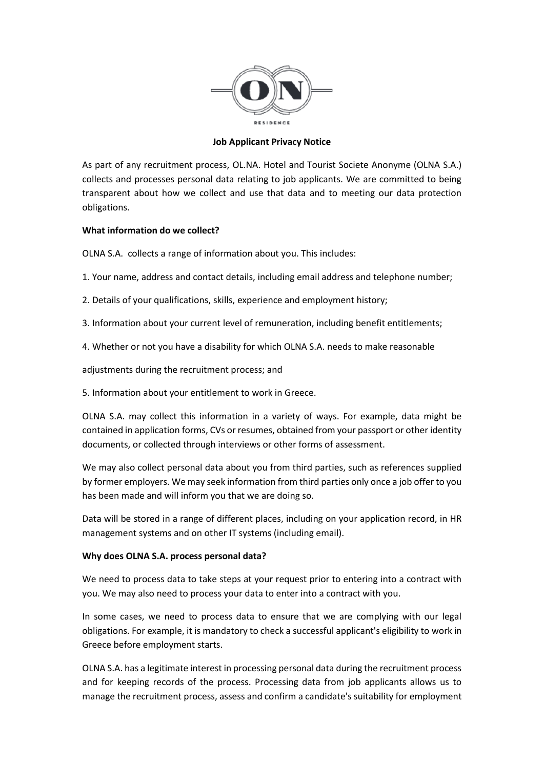

## **Job Applicant Privacy Notice**

As part of any recruitment process, OL.NA. Hotel and Tourist Societe Anonyme (OLNA S.A.) collects and processes personal data relating to job applicants. We are committed to being transparent about how we collect and use that data and to meeting our data protection obligations.

## **What information do we collect?**

OLNA S.A. collects a range of information about you. This includes:

- 1. Your name, address and contact details, including email address and telephone number;
- 2. Details of your qualifications, skills, experience and employment history;
- 3. Information about your current level of remuneration, including benefit entitlements;
- 4. Whether or not you have a disability for which OLNA S.A. needs to make reasonable

adjustments during the recruitment process; and

5. Information about your entitlement to work in Greece.

OLNA S.A. may collect this information in a variety of ways. For example, data might be contained in application forms, CVs or resumes, obtained from your passport or other identity documents, or collected through interviews or other forms of assessment.

We may also collect personal data about you from third parties, such as references supplied by former employers. We may seek information from third parties only once a job offer to you has been made and will inform you that we are doing so.

Data will be stored in a range of different places, including on your application record, in HR management systems and on other IT systems (including email).

## **Why does OLNA S.A. process personal data?**

We need to process data to take steps at your request prior to entering into a contract with you. We may also need to process your data to enter into a contract with you.

In some cases, we need to process data to ensure that we are complying with our legal obligations. For example, it is mandatory to check a successful applicant's eligibility to work in Greece before employment starts.

OLNA S.A. has a legitimate interest in processing personal data during the recruitment process and for keeping records of the process. Processing data from job applicants allows us to manage the recruitment process, assess and confirm a candidate's suitability for employment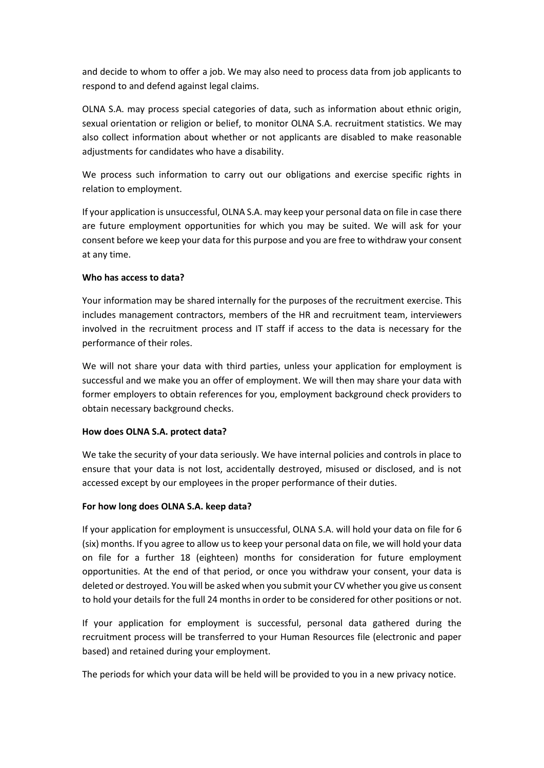and decide to whom to offer a job. We may also need to process data from job applicants to respond to and defend against legal claims.

OLNA S.A. may process special categories of data, such as information about ethnic origin, sexual orientation or religion or belief, to monitor OLNA S.A. recruitment statistics. We may also collect information about whether or not applicants are disabled to make reasonable adjustments for candidates who have a disability.

We process such information to carry out our obligations and exercise specific rights in relation to employment.

If your application is unsuccessful, OLNA S.A. may keep your personal data on file in case there are future employment opportunities for which you may be suited. We will ask for your consent before we keep your data for this purpose and you are free to withdraw your consent at any time.

# **Who has access to data?**

Your information may be shared internally for the purposes of the recruitment exercise. This includes management contractors, members of the HR and recruitment team, interviewers involved in the recruitment process and IT staff if access to the data is necessary for the performance of their roles.

We will not share your data with third parties, unless your application for employment is successful and we make you an offer of employment. We will then may share your data with former employers to obtain references for you, employment background check providers to obtain necessary background checks.

## **How does OLNA S.A. protect data?**

We take the security of your data seriously. We have internal policies and controls in place to ensure that your data is not lost, accidentally destroyed, misused or disclosed, and is not accessed except by our employees in the proper performance of their duties.

## **For how long does OLNA S.A. keep data?**

If your application for employment is unsuccessful, OLNA S.A. will hold your data on file for 6 (six) months. If you agree to allow us to keep your personal data on file, we will hold your data on file for a further 18 (eighteen) months for consideration for future employment opportunities. At the end of that period, or once you withdraw your consent, your data is deleted or destroyed. You will be asked when you submit your CV whether you give us consent to hold your details for the full 24 months in order to be considered for other positions or not.

If your application for employment is successful, personal data gathered during the recruitment process will be transferred to your Human Resources file (electronic and paper based) and retained during your employment.

The periods for which your data will be held will be provided to you in a new privacy notice.